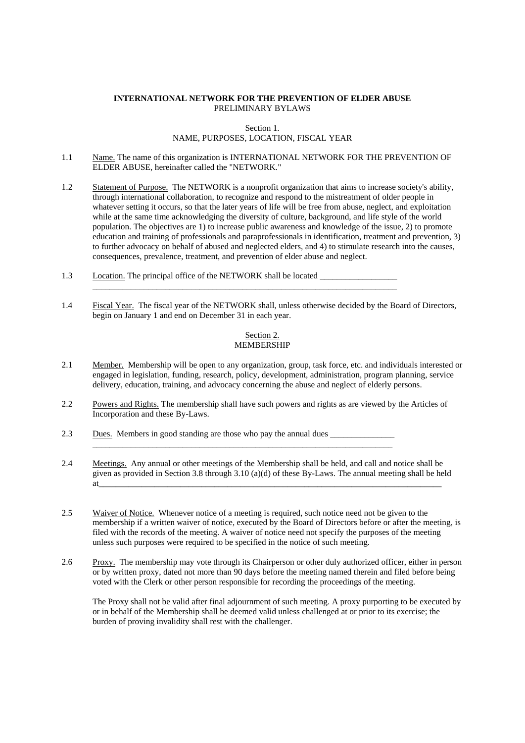# **INTERNATIONAL NETWORK FOR THE PREVENTION OF ELDER ABUSE**  PRELIMINARY BYLAWS

Section 1.

# NAME, PURPOSES, LOCATION, FISCAL YEAR

- 1.1 Name. The name of this organization is INTERNATIONAL NETWORK FOR THE PREVENTION OF ELDER ABUSE, hereinafter called the "NETWORK."
- 1.2 Statement of Purpose. The NETWORK is a nonprofit organization that aims to increase society's ability, through international collaboration, to recognize and respond to the mistreatment of older people in whatever setting it occurs, so that the later years of life will be free from abuse, neglect, and exploitation while at the same time acknowledging the diversity of culture, background, and life style of the world population. The objectives are 1) to increase public awareness and knowledge of the issue, 2) to promote education and training of professionals and paraprofessionals in identification, treatment and prevention, 3) to further advocacy on behalf of abused and neglected elders, and 4) to stimulate research into the causes, consequences, prevalence, treatment, and prevention of elder abuse and neglect.
- 1.3 Location. The principal office of the NETWORK shall be located
- 1.4 Fiscal Year. The fiscal year of the NETWORK shall, unless otherwise decided by the Board of Directors, begin on January 1 and end on December 31 in each year.

\_\_\_\_\_\_\_\_\_\_\_\_\_\_\_\_\_\_\_\_\_\_\_\_\_\_\_\_\_\_\_\_\_\_\_\_\_\_\_\_\_\_\_\_\_\_\_\_\_\_\_\_\_\_\_\_\_\_\_\_\_\_\_\_\_\_\_\_\_\_\_

### Section 2. **MEMBERSHIP**

- 2.1 Member. Membership will be open to any organization, group, task force, etc. and individuals interested or engaged in legislation, funding, research, policy, development, administration, program planning, service delivery, education, training, and advocacy concerning the abuse and neglect of elderly persons.
- 2.2 Powers and Rights. The membership shall have such powers and rights as are viewed by the Articles of Incorporation and these By-Laws.

\_\_\_\_\_\_\_\_\_\_\_\_\_\_\_\_\_\_\_\_\_\_\_\_\_\_\_\_\_\_\_\_\_\_\_\_\_\_\_\_\_\_\_\_\_\_\_\_\_\_\_\_\_\_\_\_\_\_\_\_\_\_\_\_\_\_\_\_\_\_

- 2.3 Dues. Members in good standing are those who pay the annual dues
- 2.4 Meetings. Any annual or other meetings of the Membership shall be held, and call and notice shall be given as provided in Section 3.8 through 3.10 (a)(d) of these By-Laws. The annual meeting shall be held at\_\_\_\_\_\_\_\_\_\_\_\_\_\_\_\_\_\_\_\_\_\_\_\_\_\_\_\_\_\_\_\_\_\_\_\_\_\_\_\_\_\_\_\_\_\_\_\_\_\_\_\_\_\_\_\_\_\_\_\_\_\_\_\_\_\_\_\_\_\_\_\_\_\_\_\_\_\_\_\_
- 2.5 Waiver of Notice. Whenever notice of a meeting is required, such notice need not be given to the membership if a written waiver of notice, executed by the Board of Directors before or after the meeting, is filed with the records of the meeting. A waiver of notice need not specify the purposes of the meeting unless such purposes were required to be specified in the notice of such meeting.
- 2.6 Proxy. The membership may vote through its Chairperson or other duly authorized officer, either in person or by written proxy, dated not more than 90 days before the meeting named therein and filed before being voted with the Clerk or other person responsible for recording the proceedings of the meeting.

The Proxy shall not be valid after final adjournment of such meeting. A proxy purporting to be executed by or in behalf of the Membership shall be deemed valid unless challenged at or prior to its exercise; the burden of proving invalidity shall rest with the challenger.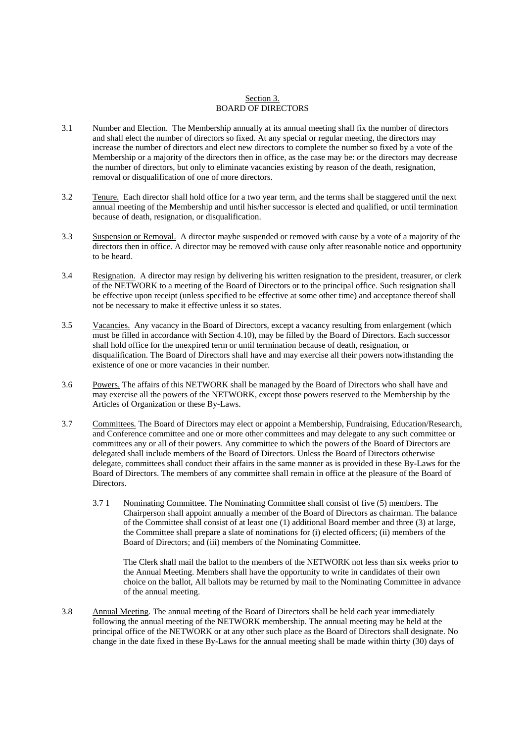# Section 3. BOARD OF DIRECTORS

- 3.1 Number and Election. The Membership annually at its annual meeting shall fix the number of directors and shall elect the number of directors so fixed. At any special or regular meeting, the directors may increase the number of directors and elect new directors to complete the number so fixed by a vote of the Membership or a majority of the directors then in office, as the case may be: or the directors may decrease the number of directors, but only to eliminate vacancies existing by reason of the death, resignation, removal or disqualification of one of more directors.
- 3.2 Tenure. Each director shall hold office for a two year term, and the terms shall be staggered until the next annual meeting of the Membership and until his/her successor is elected and qualified, or until termination because of death, resignation, or disqualification.
- 3.3 Suspension or Removal. A director maybe suspended or removed with cause by a vote of a majority of the directors then in office. A director may be removed with cause only after reasonable notice and opportunity to be heard.
- 3.4 Resignation. A director may resign by delivering his written resignation to the president, treasurer, or clerk of the NETWORK to a meeting of the Board of Directors or to the principal office. Such resignation shall be effective upon receipt (unless specified to be effective at some other time) and acceptance thereof shall not be necessary to make it effective unless it so states.
- 3.5 Vacancies. Any vacancy in the Board of Directors, except a vacancy resulting from enlargement (which must be filled in accordance with Section 4.10), may be filled by the Board of Directors. Each successor shall hold office for the unexpired term or until termination because of death, resignation, or disqualification. The Board of Directors shall have and may exercise all their powers notwithstanding the existence of one or more vacancies in their number.
- 3.6 Powers. The affairs of this NETWORK shall be managed by the Board of Directors who shall have and may exercise all the powers of the NETWORK, except those powers reserved to the Membership by the Articles of Organization or these By-Laws.
- 3.7 Committees. The Board of Directors may elect or appoint a Membership, Fundraising, Education/Research, and Conference committee and one or more other committees and may delegate to any such committee or committees any or all of their powers. Any committee to which the powers of the Board of Directors are delegated shall include members of the Board of Directors. Unless the Board of Directors otherwise delegate, committees shall conduct their affairs in the same manner as is provided in these By-Laws for the Board of Directors. The members of any committee shall remain in office at the pleasure of the Board of Directors.
	- 3.7 1 Nominating Committee. The Nominating Committee shall consist of five (5) members. The Chairperson shall appoint annually a member of the Board of Directors as chairman. The balance of the Committee shall consist of at least one (1) additional Board member and three (3) at large, the Committee shall prepare a slate of nominations for (i) elected officers; (ii) members of the Board of Directors; and (iii) members of the Nominating Committee.

The Clerk shall mail the ballot to the members of the NETWORK not less than six weeks prior to the Annual Meeting. Members shall have the opportunity to write in candidates of their own choice on the ballot, All ballots may be returned by mail to the Nominating Committee in advance of the annual meeting.

3.8 Annual Meeting. The annual meeting of the Board of Directors shall be held each year immediately following the annual meeting of the NETWORK membership. The annual meeting may be held at the principal office of the NETWORK or at any other such place as the Board of Directors shall designate. No change in the date fixed in these By-Laws for the annual meeting shall be made within thirty (30) days of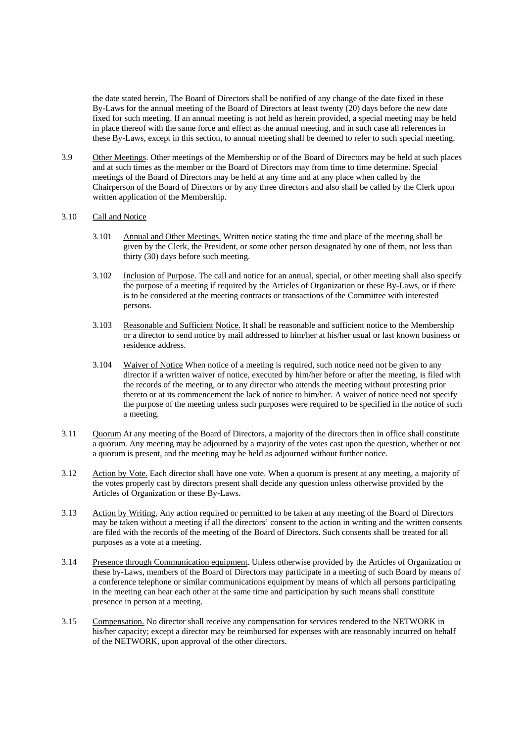the date stated herein, The Board of Directors shall be notified of any change of the date fixed in these By-Laws for the annual meeting of the Board of Directors at least twenty (20) days before the new date fixed for such meeting. If an annual meeting is not held as herein provided, a special meeting may be held in place thereof with the same force and effect as the annual meeting, and in such case all references in these By-Laws, except in this section, to annual meeting shall be deemed to refer to such special meeting.

3.9 Other Meetings. Other meetings of the Membership or of the Board of Directors may be held at such places and at such times as the member or the Board of Directors may from time to time determine. Special meetings of the Board of Directors may be held at any time and at any place when called by the Chairperson of the Board of Directors or by any three directors and also shall be called by the Clerk upon written application of the Membership.

# 3.10 Call and Notice

- 3.101 Annual and Other Meetings. Written notice stating the time and place of the meeting shall be given by the Clerk, the President, or some other person designated by one of them, not less than thirty (30) days before such meeting.
- 3.102 Inclusion of Purpose. The call and notice for an annual, special, or other meeting shall also specify the purpose of a meeting if required by the Articles of Organization or these By-Laws, or if there is to be considered at the meeting contracts or transactions of the Committee with interested persons.
- 3.103 Reasonable and Sufficient Notice. It shall be reasonable and sufficient notice to the Membership or a director to send notice by mail addressed to him/her at his/her usual or last known business or residence address.
- 3.104 Waiver of Notice When notice of a meeting is required, such notice need not be given to any director if a written waiver of notice, executed by him/her before or after the meeting, is filed with the records of the meeting, or to any director who attends the meeting without protesting prior thereto or at its commencement the lack of notice to him/her. A waiver of notice need not specify the purpose of the meeting unless such purposes were required to be specified in the notice of such a meeting.
- 3.11 Quorum At any meeting of the Board of Directors, a majority of the directors then in office shall constitute a quorum. Any meeting may be adjourned by a majority of the votes cast upon the question, whether or not a quorum is present, and the meeting may be held as adjourned without further notice.
- 3.12 Action by Vote. Each director shall have one vote. When a quorum is present at any meeting, a majority of the votes properly cast by directors present shall decide any question unless otherwise provided by the Articles of Organization or these By-Laws.
- 3.13 Action by Writing. Any action required or permitted to be taken at any meeting of the Board of Directors may be taken without a meeting if all the directors' consent to the action in writing and the written consents are filed with the records of the meeting of the Board of Directors. Such consents shall be treated for all purposes as a vote at a meeting.
- 3.14 Presence through Communication equipment. Unless otherwise provided by the Articles of Organization or these by-Laws, members of the Board of Directors may participate in a meeting of such Board by means of a conference telephone or similar communications equipment by means of which all persons participating in the meeting can hear each other at the same time and participation by such means shall constitute presence in person at a meeting.
- 3.15 Compensation. No director shall receive any compensation for services rendered to the NETWORK in his/her capacity; except a director may be reimbursed for expenses with are reasonably incurred on behalf of the NETWORK, upon approval of the other directors.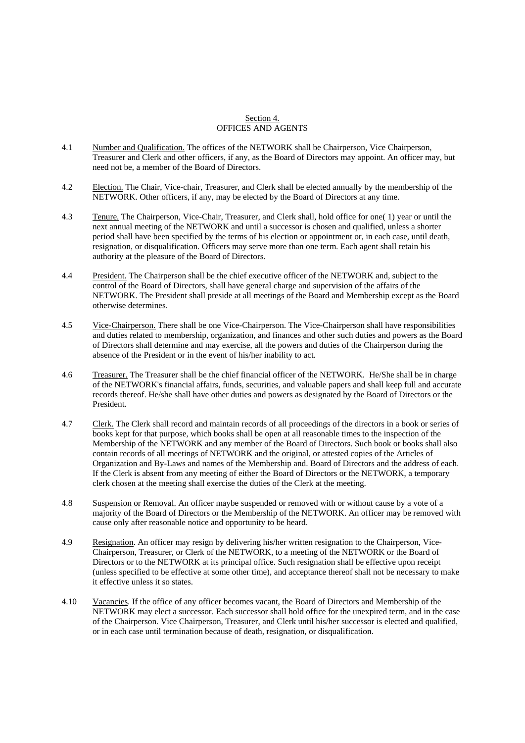#### Section 4. OFFICES AND AGENTS

- 4.1 Number and Qualification. The offices of the NETWORK shall be Chairperson, Vice Chairperson, Treasurer and Clerk and other officers, if any, as the Board of Directors may appoint. An officer may, but need not be, a member of the Board of Directors.
- 4.2 Election. The Chair, Vice-chair, Treasurer, and Clerk shall be elected annually by the membership of the NETWORK. Other officers, if any, may be elected by the Board of Directors at any time.
- 4.3 Tenure. The Chairperson, Vice-Chair, Treasurer, and Clerk shall, hold office for one( 1) year or until the next annual meeting of the NETWORK and until a successor is chosen and qualified, unless a shorter period shall have been specified by the terms of his election or appointment or, in each case, until death, resignation, or disqualification. Officers may serve more than one term. Each agent shall retain his authority at the pleasure of the Board of Directors.
- 4.4 President. The Chairperson shall be the chief executive officer of the NETWORK and, subject to the control of the Board of Directors, shall have general charge and supervision of the affairs of the NETWORK. The President shall preside at all meetings of the Board and Membership except as the Board otherwise determines.
- 4.5 Vice-Chairperson. There shall be one Vice-Chairperson. The Vice-Chairperson shall have responsibilities and duties related to membership, organization, and finances and other such duties and powers as the Board of Directors shall determine and may exercise, all the powers and duties of the Chairperson during the absence of the President or in the event of his/her inability to act.
- 4.6 Treasurer. The Treasurer shall be the chief financial officer of the NETWORK. He/She shall be in charge of the NETWORK's financial affairs, funds, securities, and valuable papers and shall keep full and accurate records thereof. He/she shall have other duties and powers as designated by the Board of Directors or the President.
- 4.7 Clerk. The Clerk shall record and maintain records of all proceedings of the directors in a book or series of books kept for that purpose, which books shall be open at all reasonable times to the inspection of the Membership of the NETWORK and any member of the Board of Directors. Such book or books shall also contain records of all meetings of NETWORK and the original, or attested copies of the Articles of Organization and By-Laws and names of the Membership and. Board of Directors and the address of each. If the Clerk is absent from any meeting of either the Board of Directors or the NETWORK, a temporary clerk chosen at the meeting shall exercise the duties of the Clerk at the meeting.
- 4.8 Suspension or Removal. An officer maybe suspended or removed with or without cause by a vote of a majority of the Board of Directors or the Membership of the NETWORK. An officer may be removed with cause only after reasonable notice and opportunity to be heard.
- 4.9 Resignation. An officer may resign by delivering his/her written resignation to the Chairperson, Vice-Chairperson, Treasurer, or Clerk of the NETWORK, to a meeting of the NETWORK or the Board of Directors or to the NETWORK at its principal office. Such resignation shall be effective upon receipt (unless specified to be effective at some other time), and acceptance thereof shall not be necessary to make it effective unless it so states.
- 4.10 Vacancies. If the office of any officer becomes vacant, the Board of Directors and Membership of the NETWORK may elect a successor. Each successor shall hold office for the unexpired term, and in the case of the Chairperson. Vice Chairperson, Treasurer, and Clerk until his/her successor is elected and qualified, or in each case until termination because of death, resignation, or disqualification.